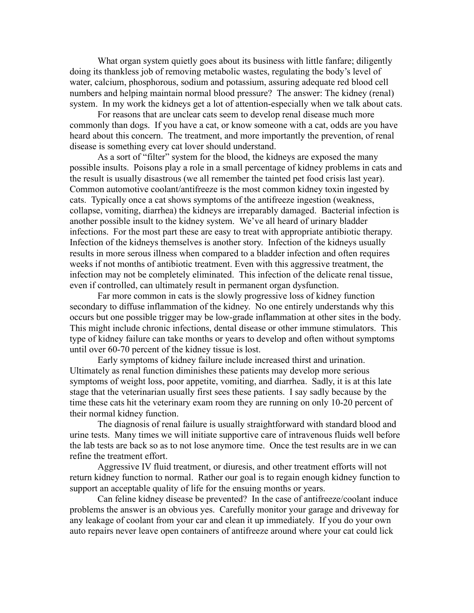What organ system quietly goes about its business with little fanfare; diligently doing its thankless job of removing metabolic wastes, regulating the body's level of water, calcium, phosphorous, sodium and potassium, assuring adequate red blood cell numbers and helping maintain normal blood pressure? The answer: The kidney (renal) system. In my work the kidneys get a lot of attention-especially when we talk about cats.

For reasons that are unclear cats seem to develop renal disease much more commonly than dogs. If you have a cat, or know someone with a cat, odds are you have heard about this concern. The treatment, and more importantly the prevention, of renal disease is something every cat lover should understand.

As a sort of "filter" system for the blood, the kidneys are exposed the many possible insults. Poisons play a role in a small percentage of kidney problems in cats and the result is usually disastrous (we all remember the tainted pet food crisis last year). Common automotive coolant/antifreeze is the most common kidney toxin ingested by cats. Typically once a cat shows symptoms of the antifreeze ingestion (weakness, collapse, vomiting, diarrhea) the kidneys are irreparably damaged. Bacterial infection is another possible insult to the kidney system. We've all heard of urinary bladder infections. For the most part these are easy to treat with appropriate antibiotic therapy. Infection of the kidneys themselves is another story. Infection of the kidneys usually results in more serous illness when compared to a bladder infection and often requires weeks if not months of antibiotic treatment. Even with this aggressive treatment, the infection may not be completely eliminated. This infection of the delicate renal tissue, even if controlled, can ultimately result in permanent organ dysfunction.

Far more common in cats is the slowly progressive loss of kidney function secondary to diffuse inflammation of the kidney. No one entirely understands why this occurs but one possible trigger may be low-grade inflammation at other sites in the body. This might include chronic infections, dental disease or other immune stimulators. This type of kidney failure can take months or years to develop and often without symptoms until over 60-70 percent of the kidney tissue is lost.

Early symptoms of kidney failure include increased thirst and urination. Ultimately as renal function diminishes these patients may develop more serious symptoms of weight loss, poor appetite, vomiting, and diarrhea. Sadly, it is at this late stage that the veterinarian usually first sees these patients. I say sadly because by the time these cats hit the veterinary exam room they are running on only 10-20 percent of their normal kidney function.

The diagnosis of renal failure is usually straightforward with standard blood and urine tests. Many times we will initiate supportive care of intravenous fluids well before the lab tests are back so as to not lose anymore time. Once the test results are in we can refine the treatment effort.

Aggressive IV fluid treatment, or diuresis, and other treatment efforts will not return kidney function to normal. Rather our goal is to regain enough kidney function to support an acceptable quality of life for the ensuing months or years.

Can feline kidney disease be prevented? In the case of antifreeze/coolant induce problems the answer is an obvious yes. Carefully monitor your garage and driveway for any leakage of coolant from your car and clean it up immediately. If you do your own auto repairs never leave open containers of antifreeze around where your cat could lick